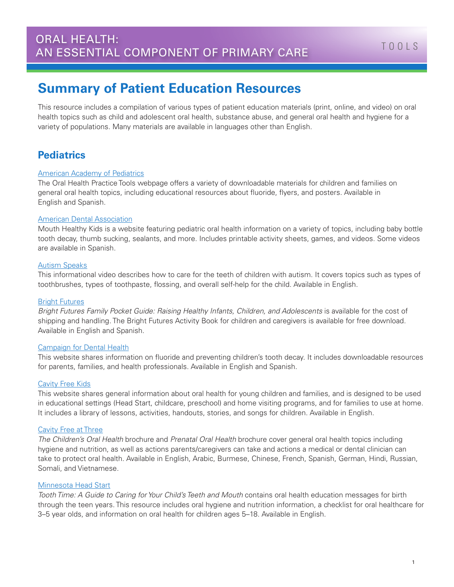# **Summary of Patient Education Resources**

This resource includes a compilation of various types of patient education materials (print, online, and video) on oral health topics such as child and adolescent oral health, substance abuse, and general oral health and hygiene for a variety of populations. Many materials are available in languages other than English.

## **Pediatrics**

#### [American Academy of Pediatrics](https://www2.aap.org/oralhealth/PracticeTools.html)

The Oral Health Practice Tools webpage offers a variety of downloadable materials for children and families on general oral health topics, including educational resources about fluoride, flyers, and posters. Available in English and Spanish.

#### [American Dental Association](http://www.mouthhealthykids.org/en/watch-videos/)

Mouth Healthy Kids is a website featuring pediatric oral health information on a variety of topics, including baby bottle tooth decay, thumb sucking, sealants, and more. Includes printable activity sheets, games, and videos. Some videos are available in Spanish.

#### [Autism Speaks](https://www.youtube.com/watch?t=63&v=HOcA2CT3NL8)

This informational video describes how to care for the teeth of children with autism. It covers topics such as types of toothbrushes, types of toothpaste, flossing, and overall self-help for the child. Available in English.

#### [Bright Futures](https://brightfutures.aap.org/materials-and-tools/family-materials/Pages/default.aspx)

*Bright Futures Family Pocket Guide: Raising Healthy Infants, Children, and Adolescents* is available for the cost of shipping and handling. The Bright Futures Activity Book for children and caregivers is available for free download. Available in English and Spanish.

#### [Campaign for Dental Health](http://ilikemyteeth.org/)

This website shares information on fluoride and preventing children's tooth decay. It includes downloadable resources for parents, families, and health professionals. Available in English and Spanish.

#### [Cavity Free Kids](http://cavityfreekids.org/)

This website shares general information about oral health for young children and families, and is designed to be used in educational settings (Head Start, childcare, preschool) and home visiting programs, and for families to use at home. It includes a library of lessons, activities, handouts, stories, and songs for children. Available in English.

#### [Cavity Free at Three](http://www.cavityfreeatthree.org/patient-education-resources)

*The Children's Oral Health* brochure and *Prenatal Oral Health* brochure cover general oral health topics including hygiene and nutrition, as well as actions parents/caregivers can take and actions a medical or dental clinician can take to protect oral health. Available in English, Arabic, Burmese, Chinese, French, Spanish, German, Hindi, Russian, Somali, and Vietnamese.

#### [Minnesota Head Start](http://www.mnheadstart.org/PDF/2010_Tooth%20Time.pdf)

*Tooth Time: A Guide to Caring for Your Child's Teeth and Mouth* contains oral health education messages for birth through the teen years. This resource includes oral hygiene and nutrition information, a checklist for oral healthcare for 3–5 year olds, and information on oral health for children ages 5–18. Available in English.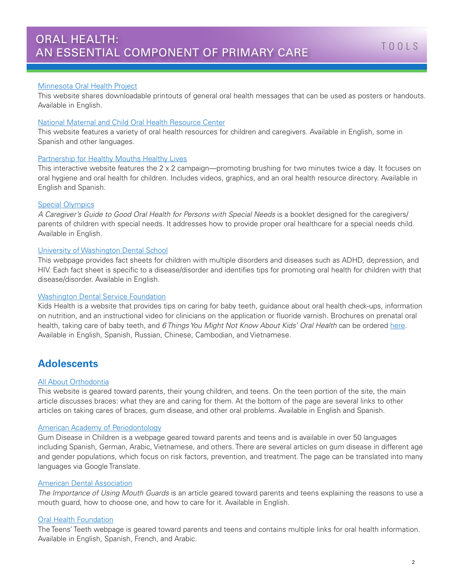#### [Minnesota Oral Health Project](http://www.minnesotaoralhealthproject.com/cavities-and-oral-health-info.html)

This website shares downloadable printouts of general oral health messages that can be used as posters or handouts. Available in English.

#### [National Maternal and Child Oral Health Resource Center](http://mchoralhealth.org/toolbox/families.php)

This website features a variety of oral health resources for children and caregivers. Available in English, some in Spanish and other languages.

#### [Partnership for Healthy Mouths Healthy Lives](http://www.2min2x.org/)

This interactive website features the 2 x 2 campaign—promoting brushing for two minutes twice a day. It focuses on oral hygiene and oral health for children. Includes videos, graphics, and an oral health resource directory. Available in English and Spanish.

#### [Special Olympics](http://media.specialolympics.org/soi/files/healthy-athletes/Special%20_Smiles_Good_Oral_Health_Guide.pdf)

*A Caregiver's Guide to Good Oral Health for Persons with Special Needs* is a booklet designed for the caregivers/ parents of children with special needs. It addresses how to provide proper oral healthcare for a special needs child. Available in English.

#### [University of Washington Dental School](https://dental.washington.edu/oral-medicine/special-needs/patients-with-special-needs/)

This webpage provides fact sheets for children with multiple disorders and diseases such as ADHD, depression, and HIV. Each fact sheet is specific to a disease/disorder and identifies tips for promoting oral health for children with that disease/disorder. Available in English.

#### [Washington Dental Service Foundation](http://kidsoralhealth.org/)

Kids Health is a website that provides tips on caring for baby teeth, guidance about oral health check-ups, information on nutrition, and an instructional video for clinicians on the application or fluoride varnish. Brochures on prenatal oral health, taking care of baby teeth, and *6 Things You Might Not Know About Kids' Oral Health* can be ordered [here](http://ddwa.force.com/brochureswebform). Available in English, Spanish, Russian, Chinese, Cambodian, and Vietnamese.

## **Adolescents**

#### [All About Orthodontia](http://kidshealth.org/teen/your_body/medical_care/braces.html?tracking=T_RelatedArticle)

This website is geared toward parents, their young children, and teens. On the teen portion of the site, the main article discusses braces: what they are and caring for them. At the bottom of the page are several links to other articles on taking cares of braces, gum disease, and other oral problems. Available in English and Spanish.

#### [American Academy of Periodontology](https://www.perio.org/consumer/children.htm)

Gum Disease in Children is a webpage geared toward parents and teens and is available in over 50 languages including Spanish, German, Arabic, Vietnamese, and others. There are several articles on gum disease in different age and gender populations, which focus on risk factors, prevention, and treatment. The page can be translated into many languages via Google Translate.

#### [American Dental Association](http://www.ada.org/~/media/ADA/Science%20and%20Research/Files/patient_40.ashx)

*The Importance of Using Mouth Guards* is an article geared toward parents and teens explaining the reasons to use a mouth guard, how to choose one, and how to care for it. Available in English.

#### [Oral Health Foundation](https://www.dentalhealth.org/tell-me-about/topic/caring-for-teeth/teens-teeth)

The Teens' Teeth webpage is geared toward parents and teens and contains multiple links for oral health information. Available in English, Spanish, French, and Arabic.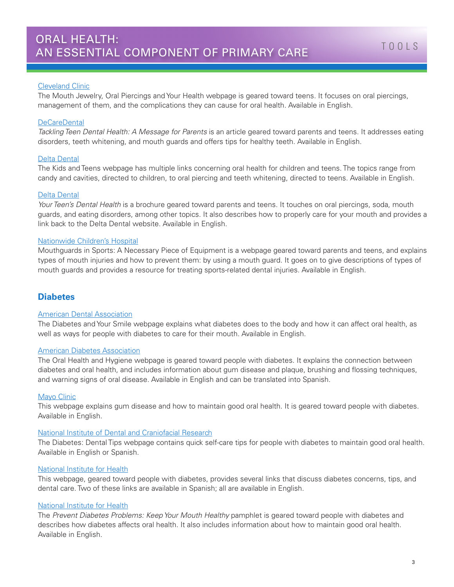#### [Cleveland Clinic](https://my.clevelandclinic.org/health/treatments_and_procedures/hic_Dental_Check-up/hic_Mouth_Jewelry_Oral_Piercings_and_Your_Health)

The Mouth Jewelry, Oral Piercings and Your Health webpage is geared toward teens. It focuses on oral piercings, management of them, and the complications they can cause for oral health. Available in English.

#### **[DeCareDental](http://www.decare.com/cm_files/pdf/100214_TacklingTeenDentalHealth_DeCare.pdf)**

*Tackling Teen Dental Health: A Message for Parents* is an article geared toward parents and teens. It addresses eating disorders, teeth whitening, and mouth guards and offers tips for healthy teeth. Available in English.

#### [Delta Dental](https://www.deltadentalins.com/oral_health/toc-kids.html)

The Kids and Teens webpage has multiple links concerning oral health for children and teens. The topics range from candy and cavities, directed to children, to oral piercing and teeth whitening, directed to teens. Available in English.

#### [Delta Dental](http://www.deltadentalid.com/files/DeltaDental0409_Your-Teens-Health.pdf)

*Your Teen's Dental Health* is a brochure geared toward parents and teens. It touches on oral piercings, soda, mouth guards, and eating disorders, among other topics. It also describes how to properly care for your mouth and provides a link back to the Delta Dental website. Available in English.

#### [Nationwide Children's Hospital](http://www.nationwidechildrens.org/mouth-guards-in-sports-a-necessary-piece-of-equipment)

Mouthguards in Sports: A Necessary Piece of Equipment is a webpage geared toward parents and teens, and explains types of mouth injuries and how to prevent them: by using a mouth guard. It goes on to give descriptions of types of mouth guards and provides a resource for treating sports-related dental injuries. Available in English.

### **Diabetes**

#### [American Dental Association](http://www.mouthhealthy.org/en/az-topics/d/diabetes)

The Diabetes and Your Smile webpage explains what diabetes does to the body and how it can affect oral health, as well as ways for people with diabetes to care for their mouth. Available in English.

#### [American Diabetes Association](http://www.diabetes.org/living-with-diabetes/treatment-and-care/oral-health-and-hygiene/)

The Oral Health and Hygiene webpage is geared toward people with diabetes. It explains the connection between diabetes and oral health, and includes information about gum disease and plaque, brushing and flossing techniques, and warning signs of oral disease. Available in English and can be translated into Spanish.

#### [Mayo Clinic](http://www.mayoclinic.org/diseases-conditions/diabetes/in-depth/diabetes/art-20043848?pg=1t)

This webpage explains gum disease and how to maintain good oral health. It is geared toward people with diabetes. Available in English.

#### [National Institute of Dental and Craniofacial Research](http://www.nidcr.nih.gov/oralhealth/Topics/Diabetes/DiabetesDentalTips.htm)

The Diabetes: Dental Tips webpage contains quick self-care tips for people with diabetes to maintain good oral health. Available in English or Spanish.

#### [National Institute for Health](http://www.nidcr.nih.gov/OralHealth/Topics/Diabetes/)

This webpage, geared toward people with diabetes, provides several links that discuss diabetes concerns, tips, and dental care. Two of these links are available in Spanish; all are available in English.

#### [National Institute for Health](http://www.niddk.nih.gov/health-information/health-topics/Diabetes/prevent-diabetes-problems/Documents/PDP_Mouth_Healthy_508.pdf)

The *Prevent Diabetes Problems: Keep Your Mouth Healthy* pamphlet is geared toward people with diabetes and describes how diabetes affects oral health. It also includes information about how to maintain good oral health. Available in English.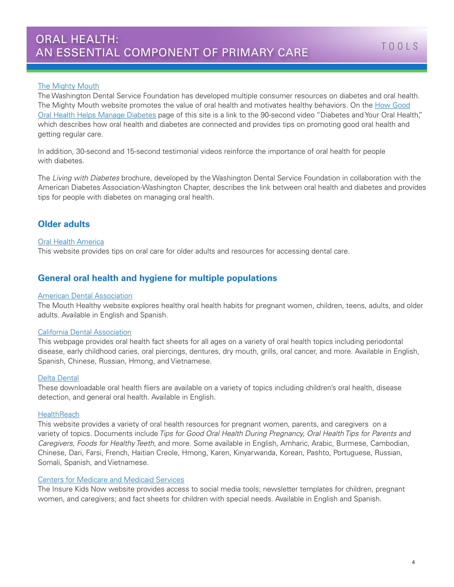#### **[The Mighty Mouth](http://www.themightymouth.org/)**

The Washington Dental Service Foundation has developed multiple consumer resources on diabetes and oral health. The Mighty Mouth website promotes the value of oral health and motivates healthy behaviors. On the [How Good](http://www.themightymouth.org/diabetes/) [Oral Health Helps Manage Diabetes](http://www.themightymouth.org/diabetes/) page of this site is a link to the 90-second video "Diabetes and Your Oral Health," which describes how oral health and diabetes are connected and provides tips on promoting good oral health and getting regular care.

In addition, 30-second and 15-second testimonial videos reinforce the importance of oral health for people with diabetes.

The *Living with Diabetes* brochure, developed by the Washington Dental Service Foundation in collaboration with the American Diabetes Association-Washington Chapter, describes the link between oral health and diabetes and provides tips for people with diabetes on managing oral health.

## **Older adults**

#### [Oral Health America](http://toothwisdom.org/)

This website provides tips on oral care for older adults and resources for accessing dental care.

## **General oral health and hygiene for multiple populations**

#### [American Dental Association](http://www.mouthhealthy.org/en/Teens/)

The Mouth Healthy website explores healthy oral health habits for pregnant women, children, teens, adults, and older adults. Available in English and Spanish.

#### [California Dental Association](http://www.cda.org/public-resources/patient-fact-sheets)

This webpage provides oral health fact sheets for all ages on a variety of oral health topics including periodontal disease, early childhood caries, oral piercings, dentures, dry mouth, grills, oral cancer, and more. Available in English, Spanish, Chinese, Russian, Hmong, and Vietnamese.

#### [Delta Dental](https://www.deltadentalins.com/administrators/guidance/oral-health-wellness-materials.html)

These downloadable oral health fliers are available on a variety of topics including children's oral health, disease detection, and general oral health. Available in English.

#### **[HealthReach](https://healthreach.nlm.nih.gov/Search.aspx?source=homepage&SearchAllText=oral+health)**

This website provides a variety of oral health resources for pregnant women, parents, and caregivers on a variety of topics. Documents include *Tips for Good Oral Health During Pregnancy, Oral Health Tips for Parents and Caregivers, Foods for Healthy Teeth,* and more. Some available in English, Amharic, Arabic, Burmese, Cambodian, Chinese, Dari, Farsi, French, Haitian Creole, Hmong, Karen, Kinyarwanda, Korean, Pashto, Portuguese, Russian, Somali, Spanish, and Vietnamese.

#### [Centers for Medicare and Medicaid Services](https://www.insurekidsnow.gov/initiatives/oral-health/index.html)

The Insure Kids Now website provides access to social media tools; newsletter templates for children, pregnant women, and caregivers; and fact sheets for children with special needs. Available in English and Spanish.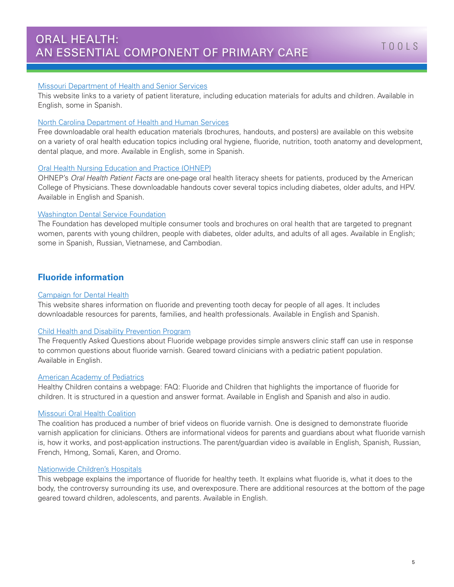#### [Missouri Department of Health and Senior Services](http://health.mo.gov/living/families/oralhealth/oralhealtheducation.php)

This website links to a variety of patient literature, including education materials for adults and children. Available in English, some in Spanish.

#### [North Carolina Department of Health and Human Services](https://www2.ncdhhs.gov/dph/oralhealth/education/)

Free downloadable oral health education materials (brochures, handouts, and posters) are available on this website on a variety of oral health education topics including oral hygiene, fluoride, nutrition, tooth anatomy and development, dental plaque, and more. Available in English, some in Spanish.

#### [Oral Health Nursing Education and Practice \(OHNEP\)](http://ohnep.org/news/oral-health-patient-facts)

OHNEP's *Oral Health Patient Facts* are one-page oral health literacy sheets for patients, produced by the American College of Physicians. These downloadable handouts cover several topics including diabetes, older adults, and HPV. Available in English and Spanish.

#### [Washington Dental Service Foundation](http://ddwa.force.com/brochureswebform)

The Foundation has developed multiple consumer tools and brochures on oral health that are targeted to pregnant women, parents with young children, people with diabetes, older adults, and adults of all ages. Available in English; some in Spanish, Russian, Vietnamese, and Cambodian.

### **Fluoride information**

#### [Campaign for Dental Health](http://ilikemyteeth.org/)

This website shares information on fluoride and preventing tooth decay for people of all ages. It includes downloadable resources for parents, families, and health professionals. Available in English and Spanish.

#### [Child Health and Disability Prevention Program](http://www.vcchdp.org/fluoride-faq)

The Frequently Asked Questions about Fluoride webpage provides simple answers clinic staff can use in response to common questions about fluoride varnish. Geared toward clinicians with a pediatric patient population. Available in English.

#### [American Academy of Pediatrics](https://www.healthychildren.org/English/healthy-living/oral-health/Pages/FAQ-Fluoride-and-Children.aspx)

Healthy Children contains a webpage: FAQ: Fluoride and Children that highlights the importance of fluoride for children. It is structured in a question and answer format. Available in English and Spanish and also in audio.

#### [Missouri Oral Health Coalition](https://www.youtube.com/channel/UCJn_RooxLVcnhojqS92_AyQ)

The coalition has produced a number of brief videos on fluoride varnish. One is designed to demonstrate fluoride varnish application for clinicians. Others are informational videos for parents and guardians about what fluoride varnish is, how it works, and post-application instructions. The parent/guardian video is available in English, Spanish, Russian, French, Hmong, Somali, Karen, and Oromo.

#### [Nationwide Children's Hospitals](http://healthlibrary.nationwidechildrens.org/Library/Pediatric/Dental/90,P01853)

This webpage explains the importance of fluoride for healthy teeth. It explains what fluoride is, what it does to the body, the controversy surrounding its use, and overexposure. There are additional resources at the bottom of the page geared toward children, adolescents, and parents. Available in English.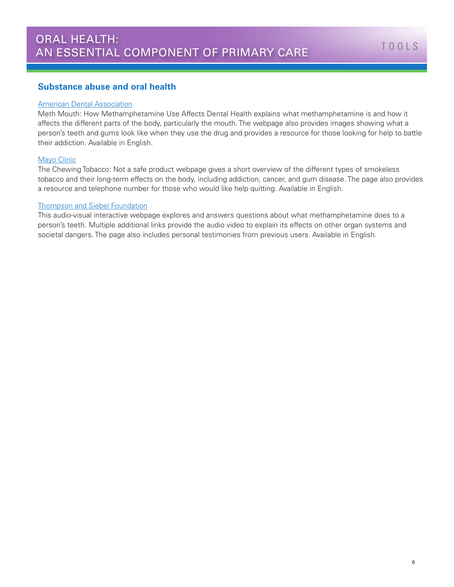### **Substance abuse and oral health**

#### [American Dental Association](http://www.mouthhealthy.org/en/az-topics/m/meth-mouth)

Meth Mouth: How Methamphetamine Use Affects Dental Health explains what methamphetamine is and how it affects the different parts of the body, particularly the mouth. The webpage also provides images showing what a person's teeth and gums look like when they use the drug and provides a resource for those looking for help to battle their addiction. Available in English.

#### [Mayo Clinic](http://www.mayoclinic.org/healthy-lifestyle/quit-smoking/in-depth/chewing-tobacco/art-20047428)

The Chewing Tobacco: Not a safe product webpage gives a short overview of the different types of smokeless tobacco and their long-term effects on the body, including addiction, cancer, and gum disease. The page also provides a resource and telephone number for those who would like help quitting. Available in English.

#### [Thompson and Siebel Foundation](http://www.methproject.org/answers/what-is-meth-mouth.html)

This audio-visual interactive webpage explores and answers questions about what methamphetamine does to a person's teeth. Multiple additional links provide the audio video to explain its effects on other organ systems and societal dangers. The page also includes personal testimonies from previous users. Available in English.